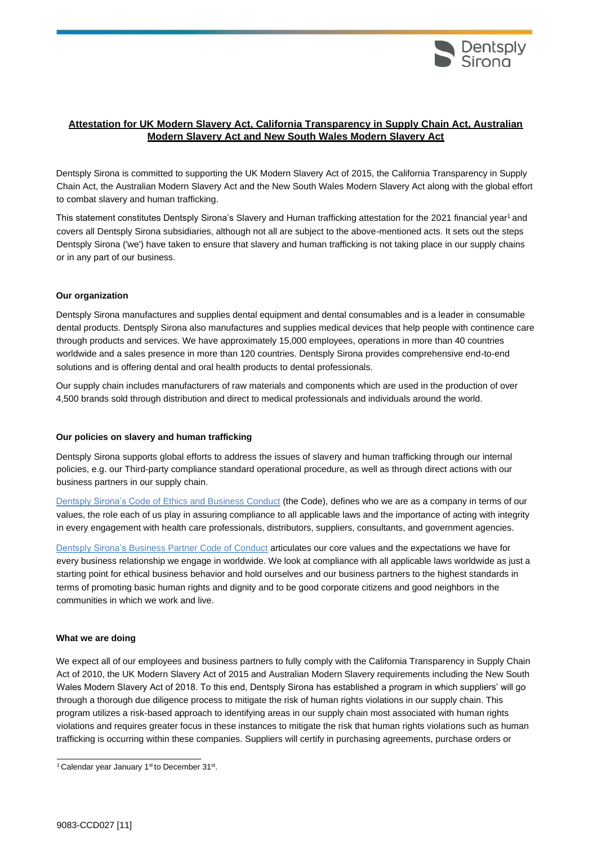

## **Attestation for UK Modern Slavery Act, California Transparency in Supply Chain Act, Australian Modern Slavery Act and New South Wales Modern Slavery Act**

Dentsply Sirona is committed to supporting the UK Modern Slavery Act of 2015, the California Transparency in Supply Chain Act, the Australian Modern Slavery Act and the New South Wales Modern Slavery Act along with the global effort to combat slavery and human trafficking.

This statement constitutes Dentsply Si[r](#page-0-0)ona's Slavery and Human trafficking attestation for the 2021 financial year<sup>1</sup> and covers all Dentsply Sirona subsidiaries, although not all are subject to the above-mentioned acts. It sets out the steps Dentsply Sirona ('we') have taken to ensure that slavery and human trafficking is not taking place in our supply chains or in any part of our business.

## **Our organization**

Dentsply Sirona manufactures and supplies dental equipment and dental consumables and is a leader in consumable dental products. Dentsply Sirona also manufactures and supplies medical devices that help people with continence care through products and services. We have approximately 15,000 employees, operations in more than 40 countries worldwide and a sales presence in more than 120 countries. Dentsply Sirona provides comprehensive end-to-end solutions and is offering dental and oral health products to dental professionals.

Our supply chain includes manufacturers of raw materials and components which are used in the production of over 4,500 brands sold through distribution and direct to medical professionals and individuals around the world.

## **Our policies on slavery and human trafficking**

Dentsply Sirona supports global efforts to address the issues of slavery and human trafficking through our internal policies, e.g. our Third-party compliance standard operational procedure, as well as through direct actions with our business partners in our supply chain.

Dentsply Sirona's Code of [Ethics and Business Conduct](https://dentsplysirona.sharepoint.com/:b:/s/ComplianceEthics/EcyCTffZo5NJkYkE3KWE-SMBXNJvBQob61RJOqBS4EsIZw?e=m29Z9j) (the Code), defines who we are as a company in terms of our values, the role each of us play in assuring compliance to all applicable laws and the importance of acting with integrity in every engagement with health care professionals, distributors, suppliers, consultants, and government agencies.

[Dentsply Sirona's Business Partner Code of Conduct](https://www.dentsplysirona.com/content/dam/websites/corporate-website/pdfs/en/CORP-Business-Partner-Code-of-Conduct.pdf) articulates our core values and the expectations we have for every business relationship we engage in worldwide. We look at compliance with all applicable laws worldwide as just a starting point for ethical business behavior and hold ourselves and our business partners to the highest standards in terms of promoting basic human rights and dignity and to be good corporate citizens and good neighbors in the communities in which we work and live.

## **What we are doing**

We expect all of our employees and business partners to fully comply with the California Transparency in Supply Chain Act of 2010, the UK Modern Slavery Act of 2015 and Australian Modern Slavery requirements including the New South Wales Modern Slavery Act of 2018. To this end, Dentsply Sirona has established a program in which suppliers' will go through a thorough due diligence process to mitigate the risk of human rights violations in our supply chain. This program utilizes a risk-based approach to identifying areas in our supply chain most associated with human rights violations and requires greater focus in these instances to mitigate the risk that human rights violations such as human trafficking is occurring within these companies. Suppliers will certify in purchasing agreements, purchase orders or

<span id="page-0-0"></span><sup>&</sup>lt;sup>1</sup> Calendar year January 1<sup>st</sup> to December 31<sup>st</sup>.